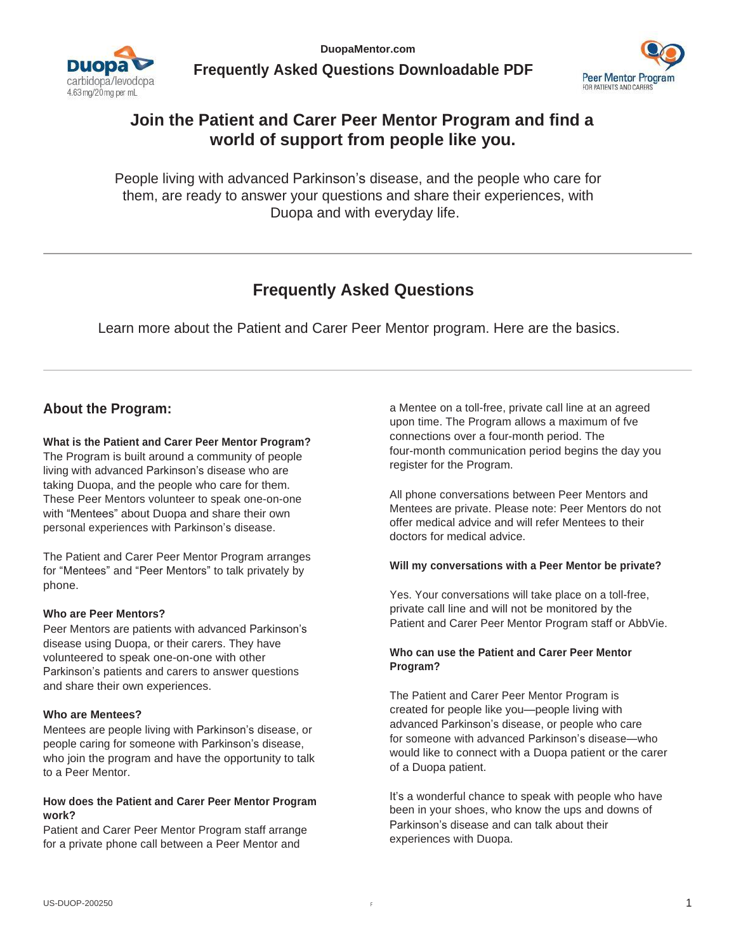



# **Join the Patient and Carer Peer Mentor Program and find a world of support from people like you.**

People living with advanced Parkinson's disease, and the people who care for them, are ready to answer your questions and share their experiences, with Duopa and with everyday life.

# **Frequently Asked Questions**

Learn more about the Patient and Carer Peer Mentor program. Here are the basics.

### **What is the Patient and Carer Peer Mentor Program?**

The Program is built around a community of people living with advanced Parkinson's disease who are taking Duopa, and the people who care for them. These Peer Mentors volunteer to speak one-on-one with "Mentees" about Duopa and share their own personal experiences with Parkinson's disease.

The Patient and Carer Peer Mentor Program arranges for "Mentees" and "Peer Mentors" to talk privately by phone.

#### **Who are Peer Mentors?**

Peer Mentors are patients with advanced Parkinson's disease using Duopa, or their carers. They have volunteered to speak one-on-one with other Parkinson's patients and carers to answer questions and share their own experiences.

#### **Who are Mentees?**

Mentees are people living with Parkinson's disease, or people caring for someone with Parkinson's disease, who join the program and have the opportunity to talk to a Peer Mentor.

#### **How does the Patient and Carer Peer Mentor Program work?**

Patient and Carer Peer Mentor Program staff arrange for a private phone call between a Peer Mentor and

**About the Program: About the Program: a** Mentee on a toll-free, private call line at an agreed upon time. The Program allows a maximum of fve connections over a four-month period. The four-month communication period begins the day you register for the Program.

> All phone conversations between Peer Mentors and Mentees are private. Please note: Peer Mentors do not offer medical advice and will refer Mentees to their doctors for medical advice.

#### **Will my conversations with a Peer Mentor be private?**

Yes. Your conversations will take place on a toll-free, private call line and will not be monitored by the Patient and Carer Peer Mentor Program staff or AbbVie.

#### **Who can use the Patient and Carer Peer Mentor Program?**

The Patient and Carer Peer Mentor Program is created for people like you—people living with advanced Parkinson's disease, or people who care for someone with advanced Parkinson's disease—who would like to connect with a Duopa patient or the carer of a Duopa patient.

It's a wonderful chance to speak with people who have been in your shoes, who know the ups and downs of Parkinson's disease and can talk about their experiences with Duopa.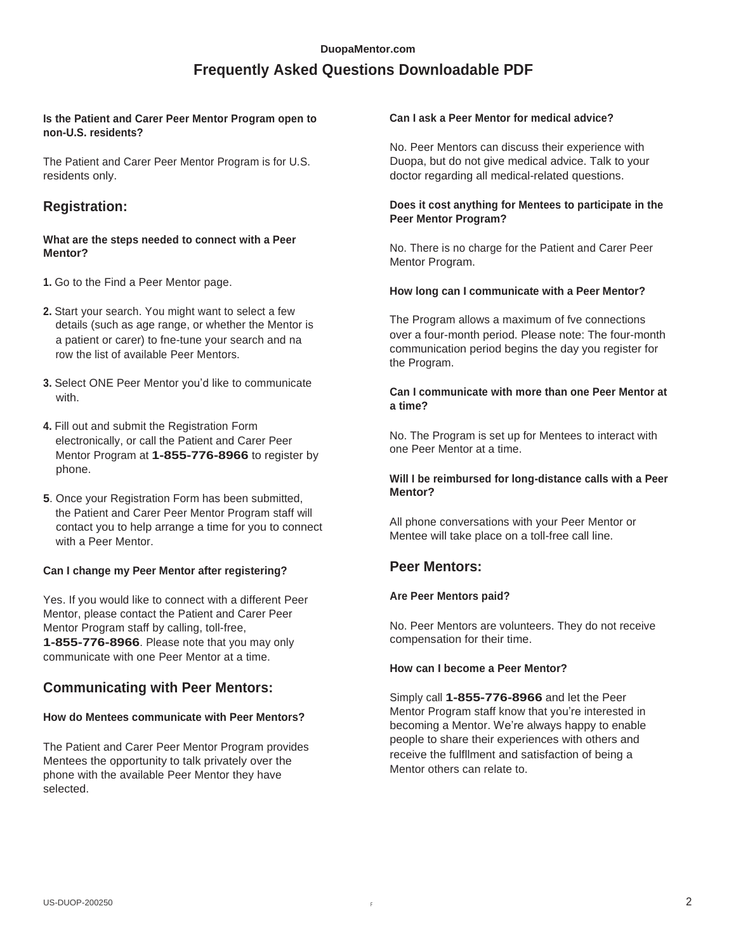#### **DuopaMentor.com**

# **Frequently Asked Questions Downloadable PDF**

#### **Is the Patient and Carer Peer Mentor Program open to non-U.S. residents?**

The Patient and Carer Peer Mentor Program is for U.S. residents only.

# **What are the steps needed to connect with a Peer**

- **1.** Go to the Find a Peer Mentor page.
- **2.** Start your search. You might want to select a few details (such as age range, or whether the Mentor is a patient or carer) to fne-tune your search and na row the list of available Peer Mentors.
- **3.** Select ONE Peer Mentor you'd like to communicate with.
- **4.** Fill out and submit the Registration Form electronically, or call the Patient and Carer Peer Mentor Program at **1-855-776-8966** to register by phone.
- **5**. Once your Registration Form has been submitted, the Patient and Carer Peer Mentor Program staff will contact you to help arrange a time for you to connect with a Peer Mentor.

# **Can <sup>I</sup> change my Peer Mentor after registering? Peer Mentors:**

Yes. If you would like to connect with a different Peer Mentor, please contact the Patient and Carer Peer Mentor Program staff by calling, toll-free, **1-855-776-8966**. Please note that you may only communicate with one Peer Mentor at a time.

# **Communicating with Peer Mentors:**

#### **How do Mentees communicate with Peer Mentors?**

The Patient and Carer Peer Mentor Program provides Mentees the opportunity to talk privately over the phone with the available Peer Mentor they have selected.

#### **Can I ask a Peer Mentor for medical advice?**

No. Peer Mentors can discuss their experience with Duopa, but do not give medical advice. Talk to your doctor regarding all medical-related questions.

#### **Registration: Does it cost anything for Mentees to participate in the Peer Mentor Program?**

**Mentor?** Mentor **Mentor** No. There is no charge for the Patient and Carer Peer Mentor Program.

#### **How long can I communicate with a Peer Mentor?**

The Program allows a maximum of fve connections over a four-month period. Please note: The four-month communication period begins the day you register for the Program.

#### **Can I communicate with more than one Peer Mentor at a time?**

No. The Program is set up for Mentees to interact with one Peer Mentor at a time.

#### **Will I be reimbursed for long-distance calls with a Peer Mentor?**

All phone conversations with your Peer Mentor or Mentee will take place on a toll-free call line.

#### **Are Peer Mentors paid?**

No. Peer Mentors are volunteers. They do not receive compensation for their time.

#### **How can I become a Peer Mentor?**

Simply call **1-855-776-8966** and let the Peer Mentor Program staff know that you're interested in becoming a Mentor. We're always happy to enable people to share their experiences with others and receive the fulfllment and satisfaction of being a Mentor others can relate to.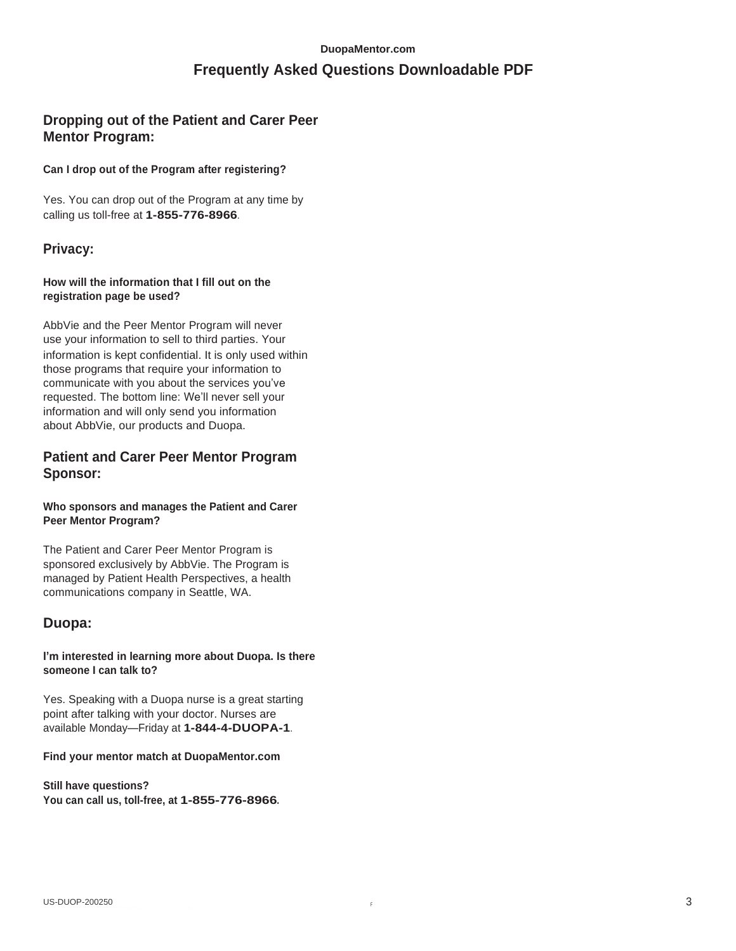#### **DuopaMentor.com**

# **Frequently Asked Questions Downloadable PDF**

## **Dropping out of the Patient and Carer Peer Mentor Program:**

#### **Can I drop out of the Program after registering?**

Yes. You can drop out of the Program at any time by calling us toll-free at **1-855-776-8966**.

## **Privacy:**

#### **How will the information that I fill out on the registration page be used?**

information is kept confidential. It is only used within AbbVie and the Peer Mentor Program will never use your information to sell to third parties. Your those programs that require your information to communicate with you about the services you've requested. The bottom line: We'll never sell your information and will only send you information about AbbVie, our products and Duopa.

## **Patient and Carer Peer Mentor Program Sponsor:**

#### **Who sponsors and manages the Patient and Carer Peer Mentor Program?**

The Patient and Carer Peer Mentor Program is sponsored exclusively by AbbVie. The Program is managed by Patient Health Perspectives, a health communications company in Seattle, WA.

# **Duopa:**

#### **I'm interested in learning more about Duopa. Is there someone I can talk to?**

Yes. Speaking with a Duopa nurse is a great starting point after talking with your doctor. Nurses are available Monday—Friday at **1-844-4-DUOPA-1**.

#### **Find your mentor match at DuopaMentor.com**

**Still have questions? You can call us, toll-free, at 1-855-776-8966.**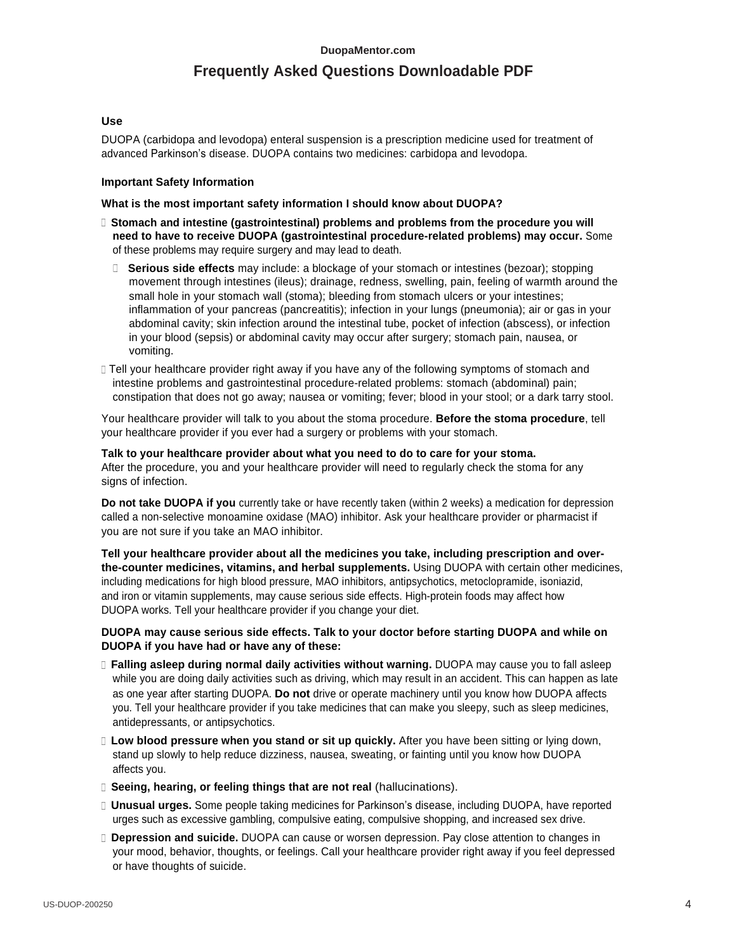#### **DuopaMentor.com**

# **Frequently Asked Questions Downloadable PDF**

#### **Use**

DUOPA (carbidopa and levodopa) enteral suspension is a prescription medicine used for treatment of advanced Parkinson's disease. DUOPA contains two medicines: carbidopa and levodopa.

#### **Important Safety Information**

#### **What is the most important safety information I should know about DUOPA?**

- **Stomach and intestine (gastrointestinal) problems and problems from the procedure you will need to have to receive DUOPA (gastrointestinal procedure-related problems) may occur.** Some of these problems may require surgery and may lead to death.
	- **Serious side effects** may include: <sup>a</sup> blockage of your stomach or intestines (bezoar); stopping movement through intestines (ileus); drainage, redness, swelling, pain, feeling of warmth around the small hole in your stomach wall (stoma); bleeding from stomach ulcers or your intestines; inflammation of your pancreas (pancreatitis); infection in your lungs (pneumonia); air or gas in your abdominal cavity; skin infection around the intestinal tube, pocket of infection (abscess), or infection in your blood (sepsis) or abdominal cavity may occur after surgery; stomach pain, nausea, or vomiting.
- Tell your healthcare provider right away if you have any of the following symptoms of stomach and intestine problems and gastrointestinal procedure-related problems: stomach (abdominal) pain; constipation that does not go away; nausea or vomiting; fever; blood in your stool; or a dark tarry stool.

Your healthcare provider will talk to you about the stoma procedure. **Before the stoma procedure**, tell your healthcare provider if you ever had a surgery or problems with your stomach.

#### **Talk to your healthcare provider about what you need to do to care for your stoma.** After the procedure, you and your healthcare provider will need to regularly check the stoma for any signs of infection.

**Do not take DUOPA if you** currently take or have recently taken (within 2 weeks) a medication for depression called a non-selective monoamine oxidase (MAO) inhibitor. Ask your healthcare provider or pharmacist if you are not sure if you take an MAO inhibitor.

**Tell your healthcare provider about all the medicines you take, including prescription and overthe-counter medicines, vitamins, and herbal supplements.** Using DUOPA with certain other medicines, including medications for high blood pressure, MAO inhibitors, antipsychotics, metoclopramide, isoniazid, and iron or vitamin supplements, may cause serious side effects. High-protein foods may affect how DUOPA works. Tell your healthcare provider if you change your diet.

#### **DUOPA may cause serious side effects. Talk to your doctor before starting DUOPA and while on DUOPA if you have had or have any of these:**

- **Falling asleep during normal daily activities without warning.** DUOPA may cause you to fall asleep while you are doing daily activities such as driving, which may result in an accident. This can happen as late as one year after starting DUOPA. **Do not** drive or operate machinery until you know how DUOPA affects you. Tell your healthcare provider if you take medicines that can make you sleepy, such as sleep medicines, antidepressants, or antipsychotics.
- **Low blood pressure when you stand or sit up quickly.** After you have been sitting or lying down, stand up slowly to help reduce dizziness, nausea, sweating, or fainting until you know how DUOPA affects you.
- **Seeing, hearing, or feeling things that are not real** (hallucinations).
- **Unusual urges.** Some people taking medicines for Parkinson's disease, including DUOPA, have reported urges such as excessive gambling, compulsive eating, compulsive shopping, and increased sex drive.
- **Depression and suicide.** DUOPA can cause or worsen depression. Pay close attention to changes in your mood, behavior, thoughts, or feelings. Call your healthcare provider right away if you feel depressed or have thoughts of suicide.